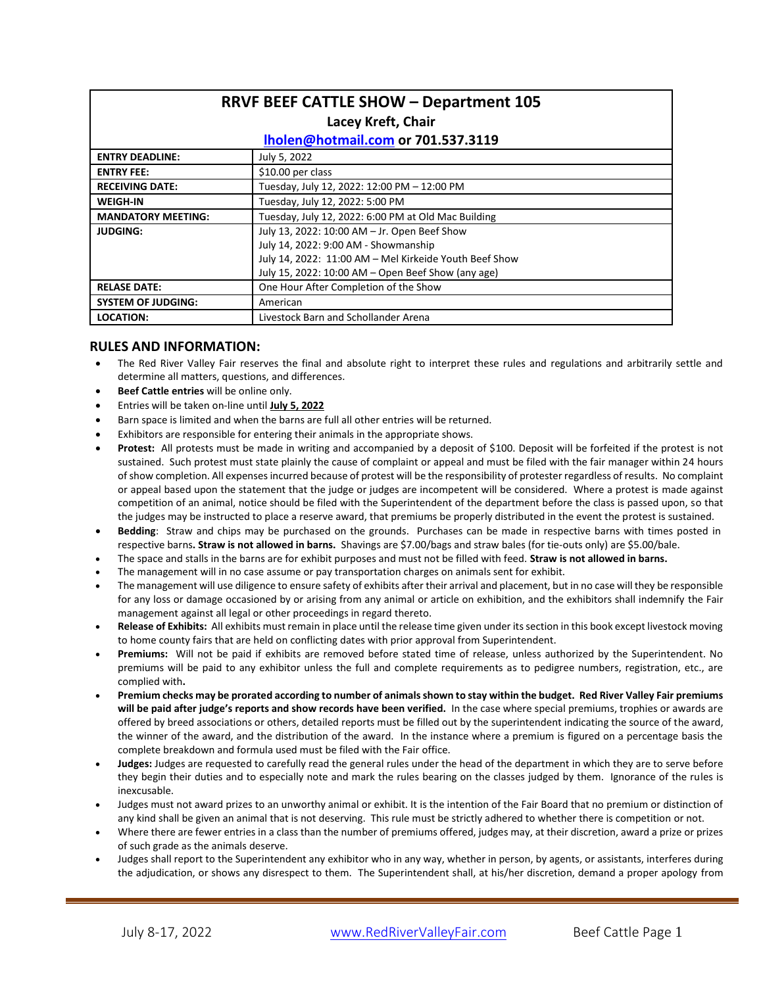| <b>RRVF BEEF CATTLE SHOW - Department 105</b> |                                                        |  |  |
|-----------------------------------------------|--------------------------------------------------------|--|--|
| Lacey Kreft, Chair                            |                                                        |  |  |
| Iholen@hotmail.com or 701.537.3119            |                                                        |  |  |
| <b>ENTRY DEADLINE:</b>                        | July 5, 2022                                           |  |  |
| <b>ENTRY FEE:</b>                             | \$10.00 per class                                      |  |  |
| <b>RECEIVING DATE:</b>                        | Tuesday, July 12, 2022: 12:00 PM - 12:00 PM            |  |  |
| <b>WEIGH-IN</b>                               | Tuesday, July 12, 2022: 5:00 PM                        |  |  |
| <b>MANDATORY MEETING:</b>                     | Tuesday, July 12, 2022: 6:00 PM at Old Mac Building    |  |  |
| <b>JUDGING:</b>                               | July 13, 2022: 10:00 AM - Jr. Open Beef Show           |  |  |
|                                               | July 14, 2022: 9:00 AM - Showmanship                   |  |  |
|                                               | July 14, 2022: 11:00 AM - Mel Kirkeide Youth Beef Show |  |  |
|                                               | July 15, 2022: 10:00 AM - Open Beef Show (any age)     |  |  |
| <b>RELASE DATE:</b>                           | One Hour After Completion of the Show                  |  |  |
| <b>SYSTEM OF JUDGING:</b>                     | American                                               |  |  |
| <b>LOCATION:</b>                              | Livestock Barn and Schollander Arena                   |  |  |

# **RULES AND INFORMATION:**

- The Red River Valley Fair reserves the final and absolute right to interpret these rules and regulations and arbitrarily settle and determine all matters, questions, and differences.
- **Beef Cattle entries** will be online only.
- Entries will be taken on-line until **July 5, 2022**
- Barn space is limited and when the barns are full all other entries will be returned.
- Exhibitors are responsible for entering their animals in the appropriate shows.
- Protest: All protests must be made in writing and accompanied by a deposit of \$100. Deposit will be forfeited if the protest is not sustained. Such protest must state plainly the cause of complaint or appeal and must be filed with the fair manager within 24 hours of show completion. All expenses incurred because of protest will be the responsibility of protester regardless of results. No complaint or appeal based upon the statement that the judge or judges are incompetent will be considered. Where a protest is made against competition of an animal, notice should be filed with the Superintendent of the department before the class is passed upon, so that the judges may be instructed to place a reserve award, that premiums be properly distributed in the event the protest is sustained.
- **Bedding**: Straw and chips may be purchased on the grounds. Purchases can be made in respective barns with times posted in respective barns**. Straw is not allowed in barns.** Shavings are \$7.00/bags and straw bales (for tie-outs only) are \$5.00/bale.
- The space and stalls in the barns are for exhibit purposes and must not be filled with feed. **Straw is not allowed in barns.**
- The management will in no case assume or pay transportation charges on animals sent for exhibit.
- The management will use diligence to ensure safety of exhibits after their arrival and placement, but in no case will they be responsible for any loss or damage occasioned by or arising from any animal or article on exhibition, and the exhibitors shall indemnify the Fair management against all legal or other proceedings in regard thereto.
- **Release of Exhibits:** All exhibits must remain in place until the release time given under its section in this book except livestock moving to home county fairs that are held on conflicting dates with prior approval from Superintendent.
- **Premiums:** Will not be paid if exhibits are removed before stated time of release, unless authorized by the Superintendent. No premiums will be paid to any exhibitor unless the full and complete requirements as to pedigree numbers, registration, etc., are complied with**.**
- **Premium checks may be prorated according to number of animals shown to stay within the budget. Red River Valley Fair premiums will be paid after judge's reports and show records have been verified.** In the case where special premiums, trophies or awards are offered by breed associations or others, detailed reports must be filled out by the superintendent indicating the source of the award, the winner of the award, and the distribution of the award. In the instance where a premium is figured on a percentage basis the complete breakdown and formula used must be filed with the Fair office.
- **Judges:** Judges are requested to carefully read the general rules under the head of the department in which they are to serve before they begin their duties and to especially note and mark the rules bearing on the classes judged by them. Ignorance of the rules is inexcusable.
- Judges must not award prizes to an unworthy animal or exhibit. It is the intention of the Fair Board that no premium or distinction of any kind shall be given an animal that is not deserving. This rule must be strictly adhered to whether there is competition or not.
- Where there are fewer entries in a class than the number of premiums offered, judges may, at their discretion, award a prize or prizes of such grade as the animals deserve.
- Judges shall report to the Superintendent any exhibitor who in any way, whether in person, by agents, or assistants, interferes during the adjudication, or shows any disrespect to them. The Superintendent shall, at his/her discretion, demand a proper apology from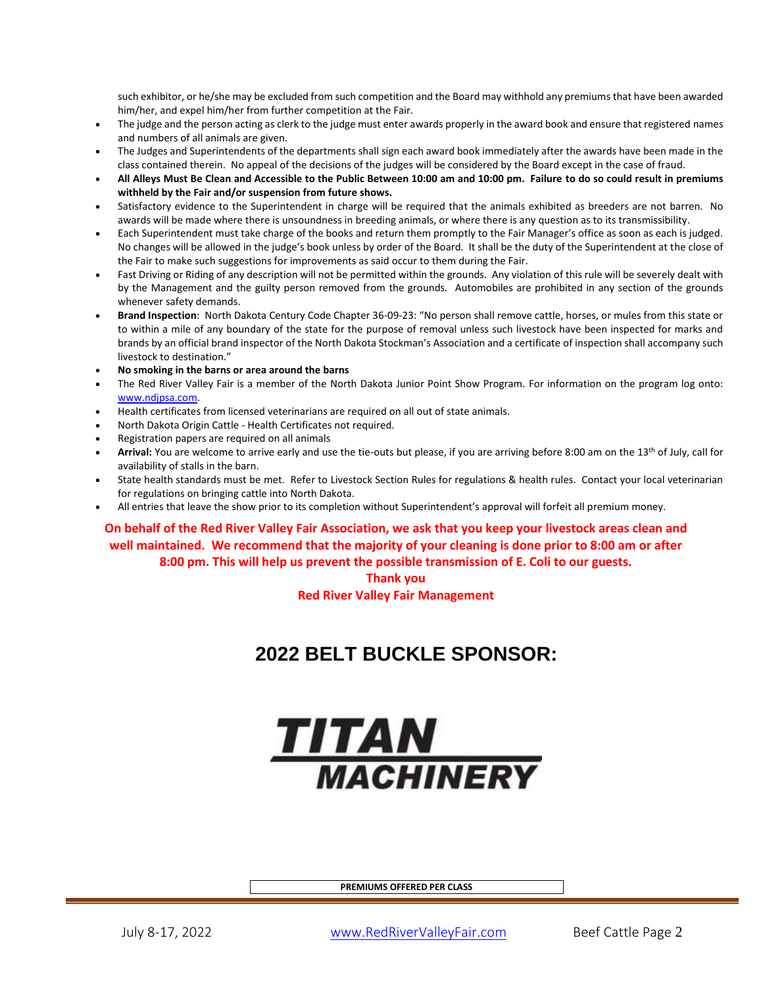such exhibitor, or he/she may be excluded from such competition and the Board may withhold any premiums that have been awarded him/her, and expel him/her from further competition at the Fair.

- The judge and the person acting as clerk to the judge must enter awards properly in the award book and ensure that registered names and numbers of all animals are given.
- The Judges and Superintendents of the departments shall sign each award book immediately after the awards have been made in the class contained therein. No appeal of the decisions of the judges will be considered by the Board except in the case of fraud.
- **All Alleys Must Be Clean and Accessible to the Public Between 10:00 am and 10:00 pm. Failure to do so could result in premiums withheld by the Fair and/or suspension from future shows.**
- Satisfactory evidence to the Superintendent in charge will be required that the animals exhibited as breeders are not barren. No awards will be made where there is unsoundness in breeding animals, or where there is any question as to its transmissibility.
- Each Superintendent must take charge of the books and return them promptly to the Fair Manager's office as soon as each is judged. No changes will be allowed in the judge's book unless by order of the Board. It shall be the duty of the Superintendent at the close of the Fair to make such suggestions for improvements as said occur to them during the Fair.
- Fast Driving or Riding of any description will not be permitted within the grounds. Any violation of this rule will be severely dealt with by the Management and the guilty person removed from the grounds. Automobiles are prohibited in any section of the grounds whenever safety demands.
- **Brand Inspection**: North Dakota Century Code Chapter 36-09-23: "No person shall remove cattle, horses, or mules from this state or to within a mile of any boundary of the state for the purpose of removal unless such livestock have been inspected for marks and brands by an official brand inspector of the North Dakota Stockman's Association and a certificate of inspection shall accompany such livestock to destination."
- **No smoking in the barns or area around the barns**
- The Red River Valley Fair is a member of the North Dakota Junior Point Show Program. For information on the program log onto: [www.ndjpsa.com.](http://www.ndjpsa.com/)
- Health certificates from licensed veterinarians are required on all out of state animals.
- North Dakota Origin Cattle Health Certificates not required.
- Registration papers are required on all animals
- **Arrival:** You are welcome to arrive early and use the tie-outs but please, if you are arriving before 8:00 am on the 13th of July, call for availability of stalls in the barn.
- State health standards must be met. Refer to Livestock Section Rules for regulations & health rules. Contact your local veterinarian for regulations on bringing cattle into North Dakota.
- All entries that leave the show prior to its completion without Superintendent's approval will forfeit all premium money.

# **On behalf of the Red River Valley Fair Association, we ask that you keep your livestock areas clean and well maintained. We recommend that the majority of your cleaning is done prior to 8:00 am or after 8:00 pm. This will help us prevent the possible transmission of E. Coli to our guests.**

# **Thank you Red River Valley Fair Management**

# **2022 BELT BUCKLE SPONSOR:**



**PREMIUMS OFFERED PER CLASS**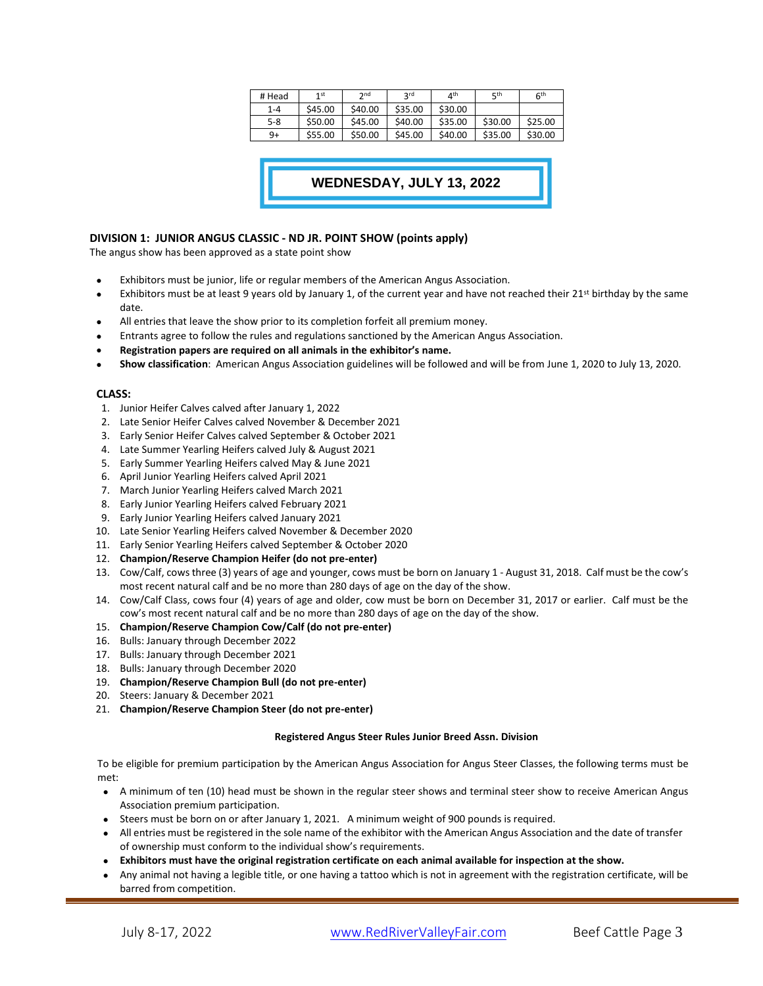| # Head  | 1st     | 2nd     | <b>3rd</b> | $\mathbf{\Delta}^{\text{th}}$ | <b>қth</b> | 6 <sup>th</sup> |
|---------|---------|---------|------------|-------------------------------|------------|-----------------|
| $1 - 4$ | \$45.00 | \$40.00 | \$35.00    | \$30.00                       |            |                 |
| $5 - 8$ | \$50.00 | \$45.00 | \$40.00    | \$35.00                       | \$30.00    | \$25.00         |
| $9+$    | \$55.00 | \$50.00 | \$45.00    | \$40.00                       | \$35.00    | \$30.00         |



## **DIVISION 1: JUNIOR ANGUS CLASSIC - ND JR. POINT SHOW (points apply)**

The angus show has been approved as a state point show

- Exhibitors must be junior, life or regular members of the American Angus Association.
- Exhibitors must be at least 9 years old by January 1, of the current year and have not reached their  $21^{st}$  birthday by the same date.
- All entries that leave the show prior to its completion forfeit all premium money.
- Entrants agree to follow the rules and regulations sanctioned by the American Angus Association.
- **Registration papers are required on all animals in the exhibitor's name.**
- **Show classification**: American Angus Association guidelines will be followed and will be from June 1, 2020 to July 13, 2020.

#### **CLASS:**

- 1. Junior Heifer Calves calved after January 1, 2022
- 2. Late Senior Heifer Calves calved November & December 2021
- 3. Early Senior Heifer Calves calved September & October 2021
- 4. Late Summer Yearling Heifers calved July & August 2021
- 5. Early Summer Yearling Heifers calved May & June 2021
- 6. April Junior Yearling Heifers calved April 2021
- 7. March Junior Yearling Heifers calved March 2021
- 8. Early Junior Yearling Heifers calved February 2021
- 9. Early Junior Yearling Heifers calved January 2021
- 10. Late Senior Yearling Heifers calved November & December 2020
- 11. Early Senior Yearling Heifers calved September & October 2020
- 12. **Champion/Reserve Champion Heifer (do not pre-enter)**
- 13. Cow/Calf, cows three (3) years of age and younger, cows must be born on January 1 August 31, 2018. Calf must be the cow's most recent natural calf and be no more than 280 days of age on the day of the show.
- 14. Cow/Calf Class, cows four (4) years of age and older, cow must be born on December 31, 2017 or earlier. Calf must be the cow's most recent natural calf and be no more than 280 days of age on the day of the show.
- 15. **Champion/Reserve Champion Cow/Calf (do not pre-enter)**
- 16. Bulls: January through December 2022
- 17. Bulls: January through December 2021
- 18. Bulls: January through December 2020
- 19. **Champion/Reserve Champion Bull (do not pre-enter)**
- 20. Steers: January & December 2021
- 21. **Champion/Reserve Champion Steer (do not pre-enter)**

#### **Registered Angus Steer Rules Junior Breed Assn. Division**

To be eligible for premium participation by the American Angus Association for Angus Steer Classes, the following terms must be met:

- A minimum of ten (10) head must be shown in the regular steer shows and terminal steer show to receive American Angus Association premium participation.
- Steers must be born on or after January 1, 2021. A minimum weight of 900 pounds is required.
- All entries must be registered in the sole name of the exhibitor with the American Angus Association and the date of transfer of ownership must conform to the individual show's requirements.
- **Exhibitors must have the original registration certificate on each animal available for inspection at the show.**
- Any animal not having a legible title, or one having a tattoo which is not in agreement with the registration certificate, will be barred from competition.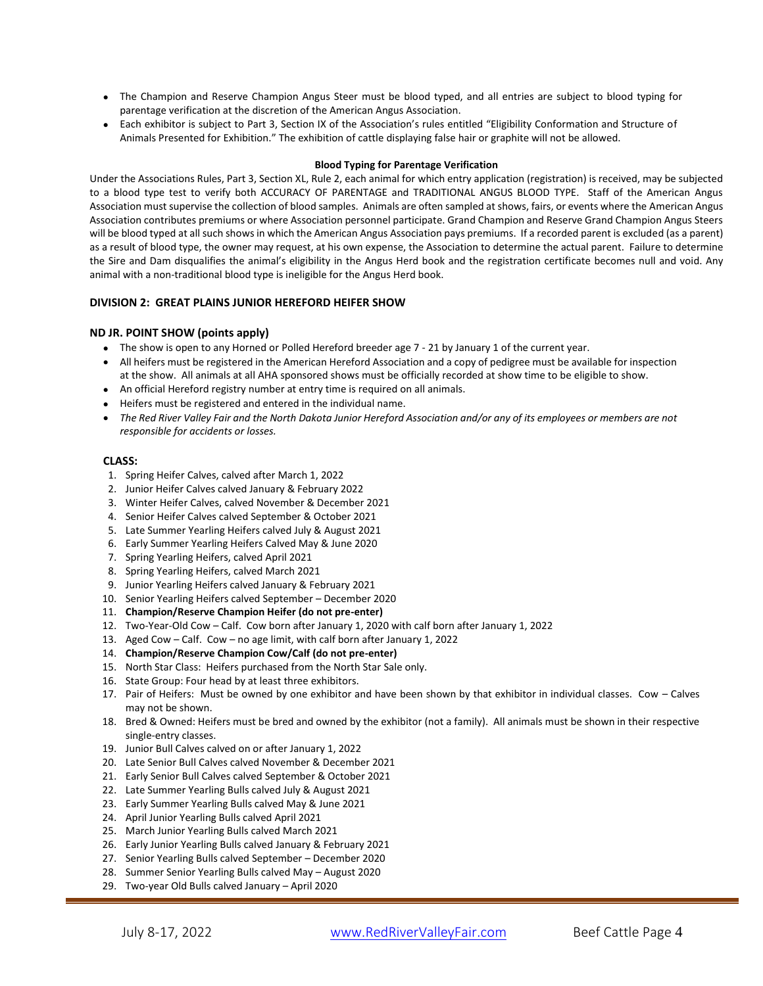- The Champion and Reserve Champion Angus Steer must be blood typed, and all entries are subject to blood typing for parentage verification at the discretion of the American Angus Association.
- Each exhibitor is subject to Part 3, Section IX of the Association's rules entitled "Eligibility Conformation and Structure of Animals Presented for Exhibition." The exhibition of cattle displaying false hair or graphite will not be allowed.

#### **Blood Typing for Parentage Verification**

Under the Associations Rules, Part 3, Section XL, Rule 2, each animal for which entry application (registration) is received, may be subjected to a blood type test to verify both ACCURACY OF PARENTAGE and TRADITIONAL ANGUS BLOOD TYPE. Staff of the American Angus Association must supervise the collection of blood samples. Animals are often sampled at shows, fairs, or events where the American Angus Association contributes premiums or where Association personnel participate. Grand Champion and Reserve Grand Champion Angus Steers will be blood typed at all such shows in which the American Angus Association pays premiums. If a recorded parent is excluded (as a parent) as a result of blood type, the owner may request, at his own expense, the Association to determine the actual parent. Failure to determine the Sire and Dam disqualifies the animal's eligibility in the Angus Herd book and the registration certificate becomes null and void. Any animal with a non-traditional blood type is ineligible for the Angus Herd book.

#### **DIVISION 2: GREAT PLAINS JUNIOR HEREFORD HEIFER SHOW**

#### **ND JR. POINT SHOW (points apply)**

- The show is open to any Horned or Polled Hereford breeder age 7 21 by January 1 of the current year.
- All heifers must be registered in the American Hereford Association and a copy of pedigree must be available for inspection at the show. All animals at all AHA sponsored shows must be officially recorded at show time to be eligible to show.
- An official Hereford registry number at entry time is required on all animals.
- Heifers must be registered and entered in the individual name.
- *The Red River Valley Fair and the North Dakota Junior Hereford Association and/or any of its employees or members are not responsible for accidents or losses.*

- 1. Spring Heifer Calves, calved after March 1, 2022
- 2. Junior Heifer Calves calved January & February 2022
- 3. Winter Heifer Calves, calved November & December 2021
- 4. Senior Heifer Calves calved September & October 2021
- 5. Late Summer Yearling Heifers calved July & August 2021
- 6. Early Summer Yearling Heifers Calved May & June 2020
- 7. Spring Yearling Heifers, calved April 2021
- 8. Spring Yearling Heifers, calved March 2021
- 9. Junior Yearling Heifers calved January & February 2021
- 10. Senior Yearling Heifers calved September December 2020
- 11. **Champion/Reserve Champion Heifer (do not pre-enter)**
- 12. Two-Year-Old Cow Calf. Cow born after January 1, 2020 with calf born after January 1, 2022
- 13. Aged Cow Calf. Cow no age limit, with calf born after January 1, 2022
- 14. **Champion/Reserve Champion Cow/Calf (do not pre-enter)**
- 15. North Star Class: Heifers purchased from the North Star Sale only.
- 16. State Group: Four head by at least three exhibitors.
- 17. Pair of Heifers: Must be owned by one exhibitor and have been shown by that exhibitor in individual classes. Cow Calves may not be shown.
- 18. Bred & Owned: Heifers must be bred and owned by the exhibitor (not a family). All animals must be shown in their respective single-entry classes.
- 19. Junior Bull Calves calved on or after January 1, 2022
- 20. Late Senior Bull Calves calved November & December 2021
- 21. Early Senior Bull Calves calved September & October 2021
- 22. Late Summer Yearling Bulls calved July & August 2021
- 23. Early Summer Yearling Bulls calved May & June 2021
- 24. April Junior Yearling Bulls calved April 2021
- 25. March Junior Yearling Bulls calved March 2021
- 26. Early Junior Yearling Bulls calved January & February 2021
- 27. Senior Yearling Bulls calved September December 2020
- 28. Summer Senior Yearling Bulls calved May August 2020
- 29. Two-year Old Bulls calved January April 2020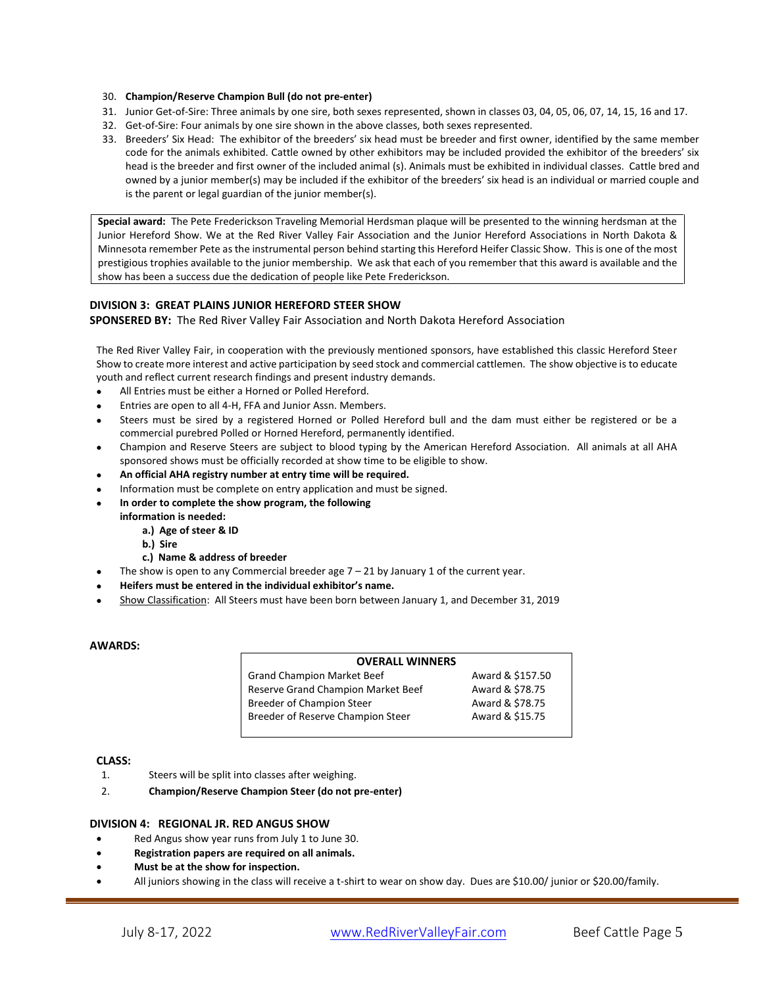#### 30. **Champion/Reserve Champion Bull (do not pre-enter)**

- 31. Junior Get-of-Sire: Three animals by one sire, both sexes represented, shown in classes 03, 04, 05, 06, 07, 14, 15, 16 and 17.
- 32. Get-of-Sire: Four animals by one sire shown in the above classes, both sexes represented.
- 33. Breeders' Six Head: The exhibitor of the breeders' six head must be breeder and first owner, identified by the same member code for the animals exhibited. Cattle owned by other exhibitors may be included provided the exhibitor of the breeders' six head is the breeder and first owner of the included animal (s). Animals must be exhibited in individual classes. Cattle bred and owned by a junior member(s) may be included if the exhibitor of the breeders' six head is an individual or married couple and is the parent or legal guardian of the junior member(s).

**Special award:** The Pete Frederickson Traveling Memorial Herdsman plaque will be presented to the winning herdsman at the Junior Hereford Show. We at the Red River Valley Fair Association and the Junior Hereford Associations in North Dakota & Minnesota remember Pete as the instrumental person behind starting this Hereford Heifer Classic Show. This is one of the most prestigious trophies available to the junior membership. We ask that each of you remember that this award is available and the show has been a success due the dedication of people like Pete Frederickson.

# **DIVISION 3: GREAT PLAINS JUNIOR HEREFORD STEER SHOW**

**SPONSERED BY:** The Red River Valley Fair Association and North Dakota Hereford Association

The Red River Valley Fair, in cooperation with the previously mentioned sponsors, have established this classic Hereford Steer Show to create more interest and active participation by seed stock and commercial cattlemen. The show objective is to educate youth and reflect current research findings and present industry demands.

- All Entries must be either a Horned or Polled Hereford.
- Entries are open to all 4-H, FFA and Junior Assn. Members.
- Steers must be sired by a registered Horned or Polled Hereford bull and the dam must either be registered or be a commercial purebred Polled or Horned Hereford, permanently identified.
- Champion and Reserve Steers are subject to blood typing by the American Hereford Association. All animals at all AHA sponsored shows must be officially recorded at show time to be eligible to show.
- **An official AHA registry number at entry time will be required.**
- Information must be complete on entry application and must be signed.
- **In order to complete the show program, the following**
	- **information is needed:** 
		- **a.) Age of steer & ID**
		- **b.) Sire**
		- **c.) Name & address of breeder**
- The show is open to any Commercial breeder age  $7 21$  by January 1 of the current year.
- **Heifers must be entered in the individual exhibitor's name.**
- Show Classification: All Steers must have been born between January 1, and December 31, 2019

#### **AWARDS:**

| <b>OVERALL WINNERS</b>             |                  |  |  |
|------------------------------------|------------------|--|--|
| <b>Grand Champion Market Beef</b>  | Award & \$157.50 |  |  |
| Reserve Grand Champion Market Beef | Award & \$78.75  |  |  |
| Breeder of Champion Steer          | Award & \$78.75  |  |  |
| Breeder of Reserve Champion Steer  | Award & \$15.75  |  |  |
|                                    |                  |  |  |

# **CLASS:**

- 1. Steers will be split into classes after weighing.
- 2. **Champion/Reserve Champion Steer (do not pre-enter)**

#### **DIVISION 4: REGIONAL JR. RED ANGUS SHOW**

- Red Angus show year runs from July 1 to June 30.
- **Registration papers are required on all animals.**
- **Must be at the show for inspection.**
- All juniors showing in the class will receive a t-shirt to wear on show day. Dues are \$10.00/ junior or \$20.00/family.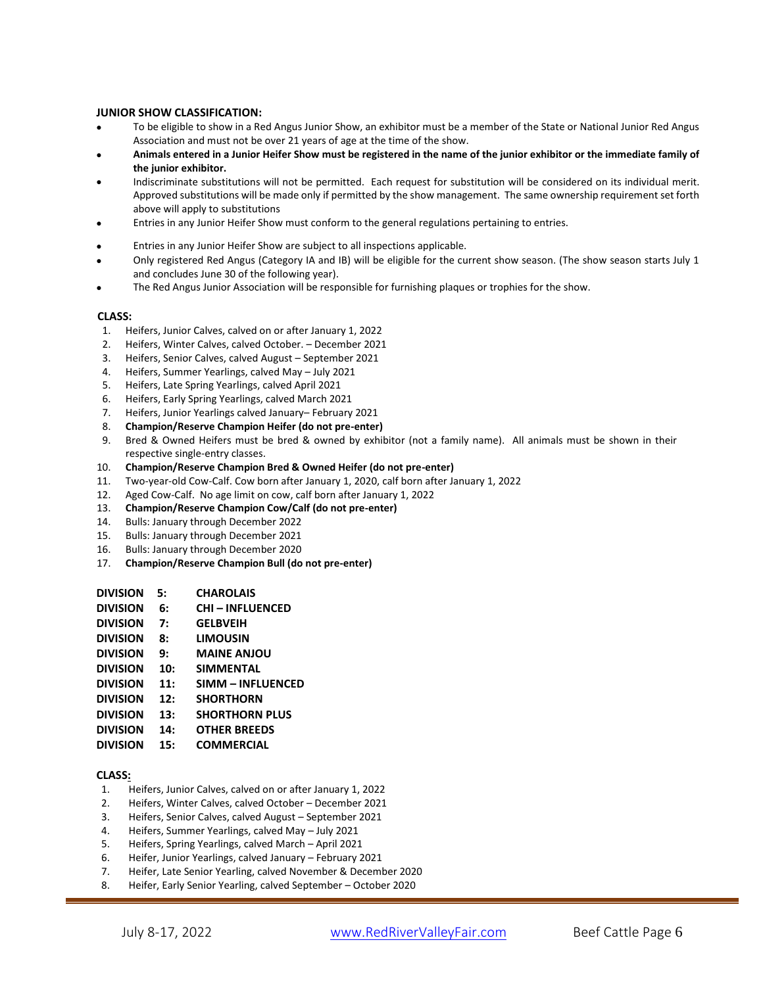# **JUNIOR SHOW CLASSIFICATION:**

- To be eligible to show in a Red Angus Junior Show, an exhibitor must be a member of the State or National Junior Red Angus Association and must not be over 21 years of age at the time of the show.
- **Animals entered in a Junior Heifer Show must be registered in the name of the junior exhibitor or the immediate family of the junior exhibitor.**
- Indiscriminate substitutions will not be permitted. Each request for substitution will be considered on its individual merit. Approved substitutions will be made only if permitted by the show management. The same ownership requirement set forth above will apply to substitutions
- Entries in any Junior Heifer Show must conform to the general regulations pertaining to entries.
- Entries in any Junior Heifer Show are subject to all inspections applicable.
- Only registered Red Angus (Category IA and IB) will be eligible for the current show season. (The show season starts July 1 and concludes June 30 of the following year).
- The Red Angus Junior Association will be responsible for furnishing plaques or trophies for the show.

# **CLASS:**

- 1. Heifers, Junior Calves, calved on or after January 1, 2022
- 2. Heifers, Winter Calves, calved October. December 2021
- 3. Heifers, Senior Calves, calved August September 2021
- 4. Heifers, Summer Yearlings, calved May July 2021
- 5. Heifers, Late Spring Yearlings, calved April 2021
- 6. Heifers, Early Spring Yearlings, calved March 2021
- 7. Heifers, Junior Yearlings calved January– February 2021
- 8. **Champion/Reserve Champion Heifer (do not pre-enter)**
- 9. Bred & Owned Heifers must be bred & owned by exhibitor (not a family name). All animals must be shown in their respective single-entry classes.
- 10. **Champion/Reserve Champion Bred & Owned Heifer (do not pre-enter)**
- 11. Two-year-old Cow-Calf. Cow born after January 1, 2020, calf born after January 1, 2022
- 12. Aged Cow-Calf. No age limit on cow, calf born after January 1, 2022
- 13. **Champion/Reserve Champion Cow/Calf (do not pre-enter)**
- 14. Bulls: January through December 2022
- 15. Bulls: January through December 2021
- 16. Bulls: January through December 2020
- 17. **Champion/Reserve Champion Bull (do not pre-enter)**

# **DIVISION 5: CHAROLAIS**

- **DIVISION 6: CHI – INFLUENCED**
- **DIVISION 7: GELBVEIH**
- **DIVISION 8: LIMOUSIN**
- **DIVISION 9: MAINE ANJOU**
- **DIVISION 10: SIMMENTAL**
- **DIVISION 11: SIMM – INFLUENCED**
- **DIVISION 12: SHORTHORN**
- **DIVISION 13: SHORTHORN PLUS**
- **DIVISION 14: OTHER BREEDS**
- **DIVISION 15: COMMERCIAL**

- 1. Heifers, Junior Calves, calved on or after January 1, 2022
- 2. Heifers, Winter Calves, calved October December 2021
- 3. Heifers, Senior Calves, calved August September 2021
- 4. Heifers, Summer Yearlings, calved May July 2021
- 5. Heifers, Spring Yearlings, calved March April 2021
- 6. Heifer, Junior Yearlings, calved January February 2021
- 7. Heifer, Late Senior Yearling, calved November & December 2020
- 8. Heifer, Early Senior Yearling, calved September October 2020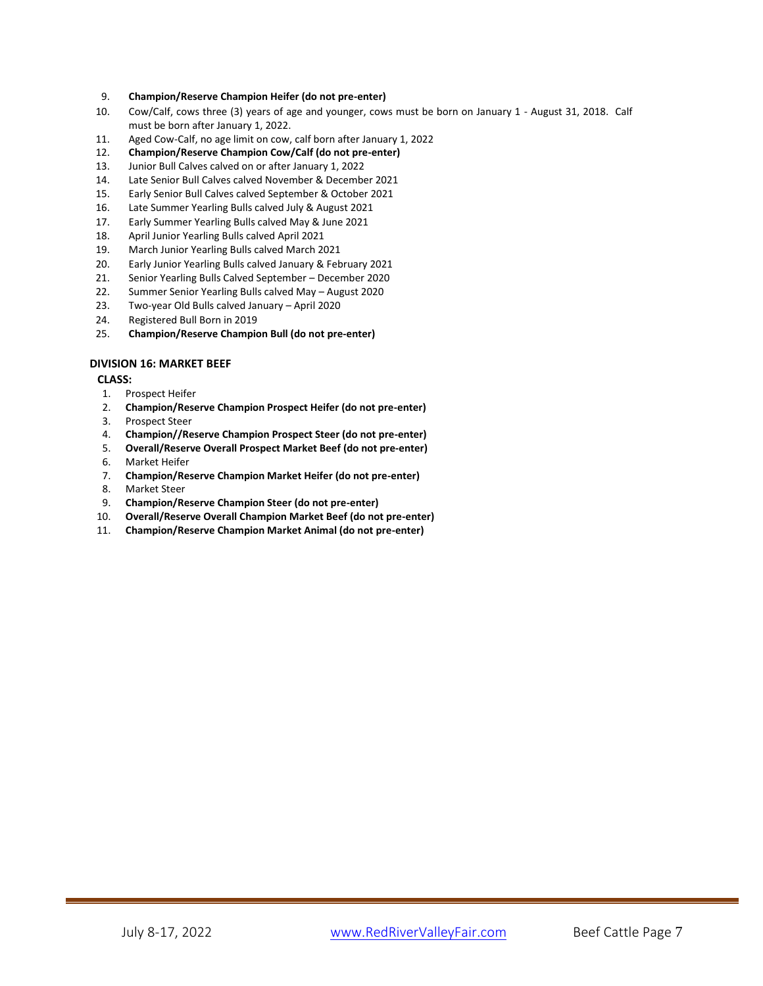- 9. **Champion/Reserve Champion Heifer (do not pre-enter)**
- 10. Cow/Calf, cows three (3) years of age and younger, cows must be born on January 1 August 31, 2018. Calf must be born after January 1, 2022.
- 11. Aged Cow-Calf, no age limit on cow, calf born after January 1, 2022
- 12. **Champion/Reserve Champion Cow/Calf (do not pre-enter)**
- 13. Junior Bull Calves calved on or after January 1, 2022
- 14. Late Senior Bull Calves calved November & December 2021
- 15. Early Senior Bull Calves calved September & October 2021
- 16. Late Summer Yearling Bulls calved July & August 2021
- 17. Early Summer Yearling Bulls calved May & June 2021
- 18. April Junior Yearling Bulls calved April 2021
- 19. March Junior Yearling Bulls calved March 2021
- 20. Early Junior Yearling Bulls calved January & February 2021
- 21. Senior Yearling Bulls Calved September December 2020
- 22. Summer Senior Yearling Bulls calved May August 2020
- 23. Two-year Old Bulls calved January April 2020
- 24. Registered Bull Born in 2019
- 25. **Champion/Reserve Champion Bull (do not pre-enter)**

#### **DIVISION 16: MARKET BEEF**

- 1. Prospect Heifer
- 2. **Champion/Reserve Champion Prospect Heifer (do not pre-enter)**
- 3. Prospect Steer
- 4. **Champion//Reserve Champion Prospect Steer (do not pre-enter)**
- 5. **Overall/Reserve Overall Prospect Market Beef (do not pre-enter)**
- 6. Market Heifer
- 7. **Champion/Reserve Champion Market Heifer (do not pre-enter)**
- 8. Market Steer
- 9. **Champion/Reserve Champion Steer (do not pre-enter)**
- 10. **Overall/Reserve Overall Champion Market Beef (do not pre-enter)**
- 11. **Champion/Reserve Champion Market Animal (do not pre-enter)**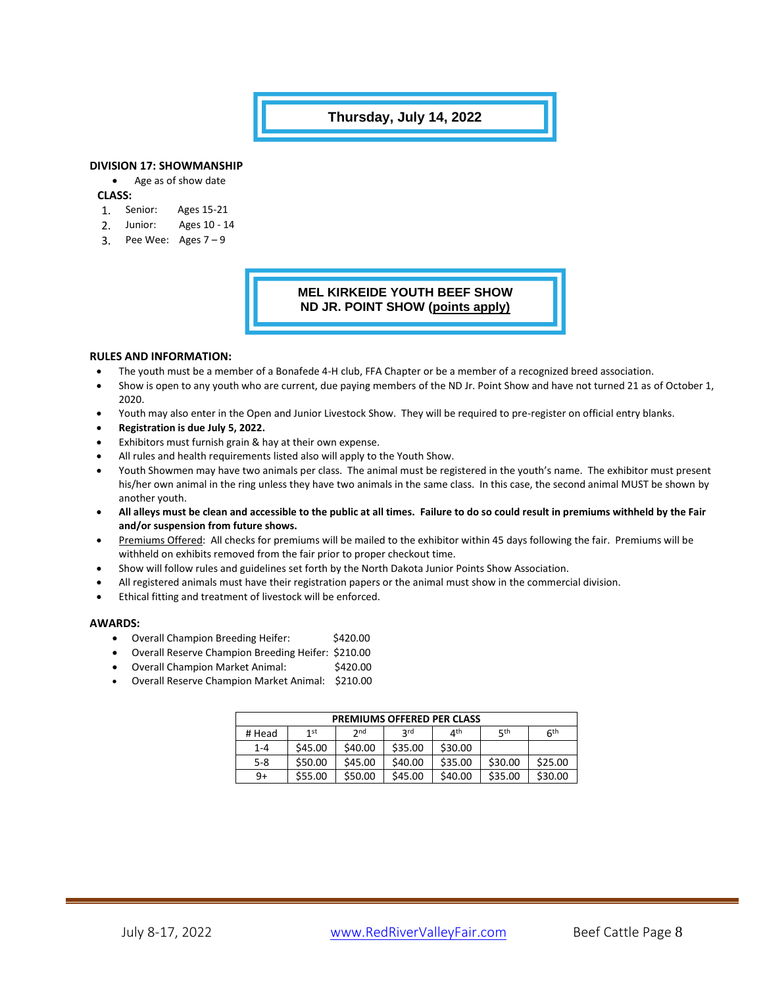**Thursday, July 14, 2022**

#### **DIVISION 17: SHOWMANSHIP**

• Age as of show date

- **CLASS:**
- 1. Senior: Ages 15-21
- 2. Junior: Ages 10 14
- 3. Pee Wee: Ages  $7 9$

**MEL KIRKEIDE YOUTH BEEF SHOW ND JR. POINT SHOW (points apply)**

#### **RULES AND INFORMATION:**

- The youth must be a member of a Bonafede 4-H club, FFA Chapter or be a member of a recognized breed association.
- Show is open to any youth who are current, due paying members of the ND Jr. Point Show and have not turned 21 as of October 1, 2020.
- Youth may also enter in the Open and Junior Livestock Show. They will be required to pre-register on official entry blanks.
- **Registration is due July 5, 2022.**
- Exhibitors must furnish grain & hay at their own expense.
- All rules and health requirements listed also will apply to the Youth Show.
- Youth Showmen may have two animals per class. The animal must be registered in the youth's name. The exhibitor must present his/her own animal in the ring unless they have two animals in the same class. In this case, the second animal MUST be shown by another youth.
- **All alleys must be clean and accessible to the public at all times. Failure to do so could result in premiums withheld by the Fair and/or suspension from future shows.**
- Premiums Offered: All checks for premiums will be mailed to the exhibitor within 45 days following the fair. Premiums will be withheld on exhibits removed from the fair prior to proper checkout time.
- Show will follow rules and guidelines set forth by the North Dakota Junior Points Show Association.
- All registered animals must have their registration papers or the animal must show in the commercial division.
- Ethical fitting and treatment of livestock will be enforced.

#### **AWARDS:**

- Overall Champion Breeding Heifer: \$420.00
- Overall Reserve Champion Breeding Heifer: \$210.00
- Overall Champion Market Animal: \$420.00
- Overall Reserve Champion Market Animal: \$210.00

| <b>PREMIUMS OFFERED PER CLASS</b> |         |                 |         |         |         |                 |
|-----------------------------------|---------|-----------------|---------|---------|---------|-----------------|
| # Head                            | 1st     | 2 <sub>nd</sub> | 2rd     | ∕1th    | ςth     | 6 <sup>th</sup> |
| $1 - 4$                           | \$45.00 | \$40.00         | \$35.00 | \$30.00 |         |                 |
| $5-8$                             | \$50.00 | \$45.00         | \$40.00 | \$35.00 | \$30.00 | \$25.00         |
| 9+                                | \$55.00 | \$50.00         | \$45.00 | \$40.00 | \$35.00 | \$30.00         |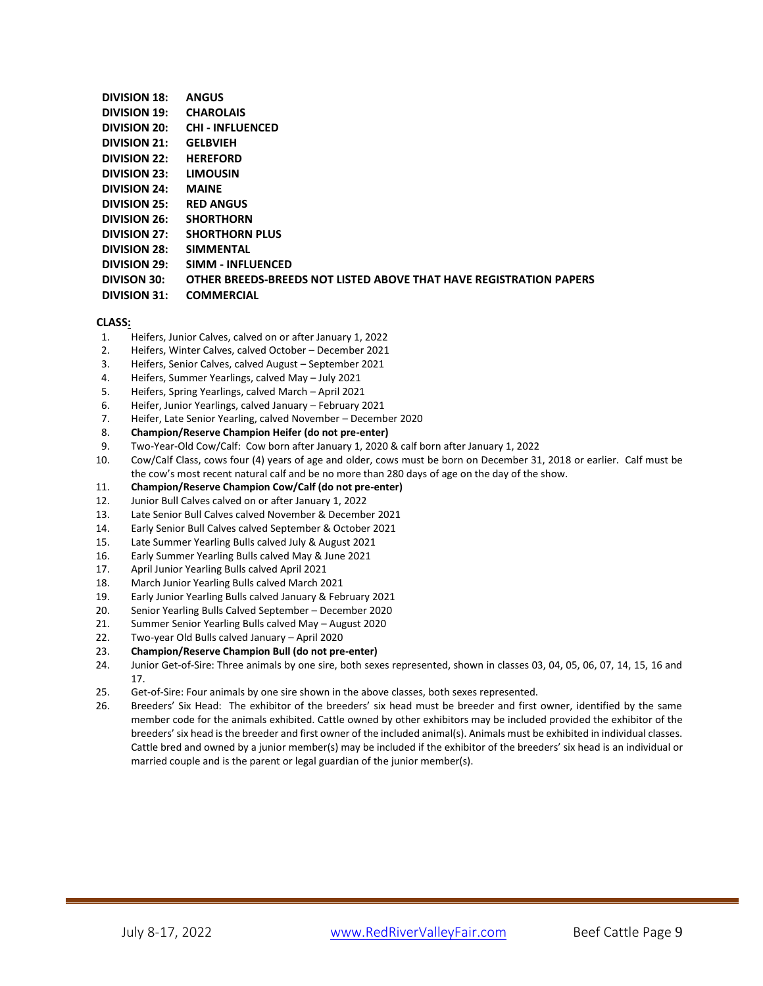| <b>DIVISION 18:</b> | <b>ANGUS</b>                                                       |
|---------------------|--------------------------------------------------------------------|
| <b>DIVISION 19:</b> | <b>CHAROLAIS</b>                                                   |
| DIVISION 20:        | <b>CHI-INFLUENCED</b>                                              |
| <b>DIVISION 21:</b> | <b>GELBVIEH</b>                                                    |
| <b>DIVISION 22:</b> | <b>HEREFORD</b>                                                    |
| <b>DIVISION 23:</b> | <b>LIMOUSIN</b>                                                    |
| <b>DIVISION 24:</b> | <b>MAINE</b>                                                       |
| <b>DIVISION 25:</b> | <b>RED ANGUS</b>                                                   |
| DIVISION 26:        | <b>SHORTHORN</b>                                                   |
| <b>DIVISION 27:</b> | <b>SHORTHORN PLUS</b>                                              |
| <b>DIVISION 28:</b> | <b>SIMMENTAL</b>                                                   |
| <b>DIVISION 29:</b> | SIMM - INFLUENCED                                                  |
| <b>DIVISON 30:</b>  | OTHER BREEDS-BREEDS NOT LISTED ABOVE THAT HAVE REGISTRATION PAPERS |
| <b>DIVISION 31:</b> | <b>COMMERCIAL</b>                                                  |

- 1. Heifers, Junior Calves, calved on or after January 1, 2022
- 2. Heifers, Winter Calves, calved October December 2021
- 3. Heifers, Senior Calves, calved August September 2021
- 4. Heifers, Summer Yearlings, calved May July 2021
- 5. Heifers, Spring Yearlings, calved March April 2021
- 6. Heifer, Junior Yearlings, calved January February 2021
- 7. Heifer, Late Senior Yearling, calved November December 2020
- 8. **Champion/Reserve Champion Heifer (do not pre-enter)**
- 9. Two-Year-Old Cow/Calf: Cow born after January 1, 2020 & calf born after January 1, 2022
- 10. Cow/Calf Class, cows four (4) years of age and older, cows must be born on December 31, 2018 or earlier. Calf must be the cow's most recent natural calf and be no more than 280 days of age on the day of the show.
- 11. **Champion/Reserve Champion Cow/Calf (do not pre-enter)**
- 12. Junior Bull Calves calved on or after January 1, 2022
- 13. Late Senior Bull Calves calved November & December 2021
- 14. Early Senior Bull Calves calved September & October 2021
- 15. Late Summer Yearling Bulls calved July & August 2021
- 16. Early Summer Yearling Bulls calved May & June 2021
- 17. April Junior Yearling Bulls calved April 2021
- 18. March Junior Yearling Bulls calved March 2021
- 19. Early Junior Yearling Bulls calved January & February 2021
- 20. Senior Yearling Bulls Calved September December 2020
- 21. Summer Senior Yearling Bulls calved May August 2020
- 22. Two-year Old Bulls calved January April 2020
- 23. **Champion/Reserve Champion Bull (do not pre-enter)**
- 24. Junior Get-of-Sire: Three animals by one sire, both sexes represented, shown in classes 03, 04, 05, 06, 07, 14, 15, 16 and 17.
- 25. Get-of-Sire: Four animals by one sire shown in the above classes, both sexes represented.
- 26. Breeders' Six Head: The exhibitor of the breeders' six head must be breeder and first owner, identified by the same member code for the animals exhibited. Cattle owned by other exhibitors may be included provided the exhibitor of the breeders' six head is the breeder and first owner of the included animal(s). Animals must be exhibited in individual classes. Cattle bred and owned by a junior member(s) may be included if the exhibitor of the breeders' six head is an individual or married couple and is the parent or legal guardian of the junior member(s).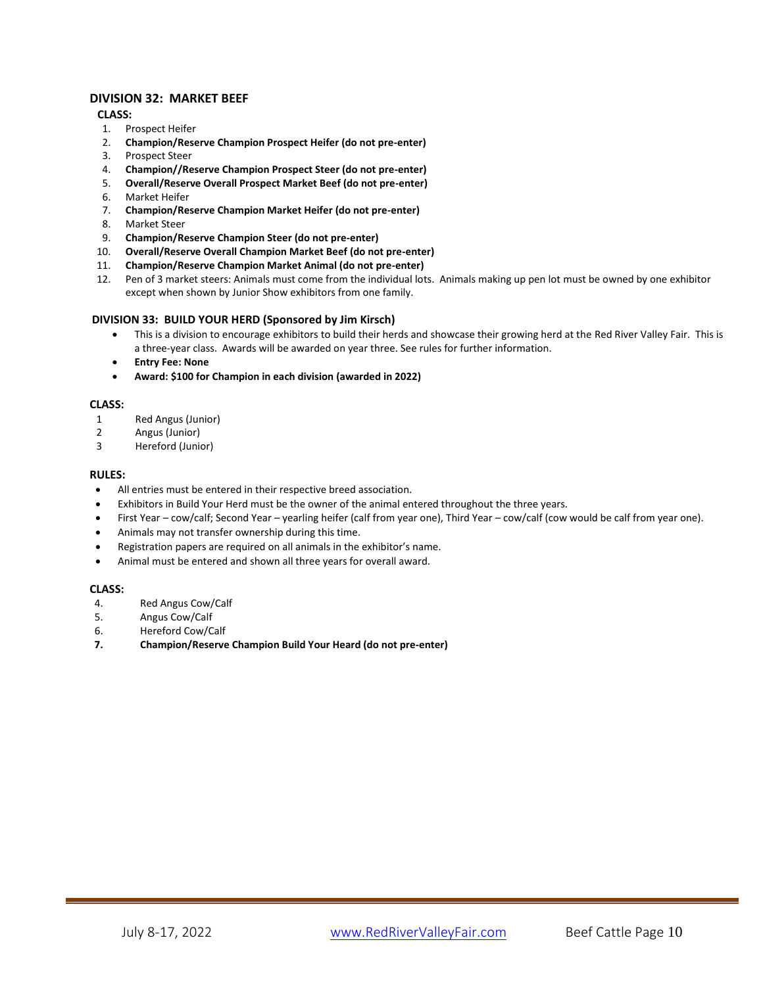# **DIVISION 32: MARKET BEEF**

# **CLASS:**

- 1. Prospect Heifer
- 2. **Champion/Reserve Champion Prospect Heifer (do not pre-enter)**
- 3. Prospect Steer
- 4. **Champion//Reserve Champion Prospect Steer (do not pre-enter)**
- 5. **Overall/Reserve Overall Prospect Market Beef (do not pre-enter)**
- 6. Market Heifer
- 7. **Champion/Reserve Champion Market Heifer (do not pre-enter)**
- 8. Market Steer
- 9. **Champion/Reserve Champion Steer (do not pre-enter)**
- 10. **Overall/Reserve Overall Champion Market Beef (do not pre-enter)**
- 11. **Champion/Reserve Champion Market Animal (do not pre-enter)**
- 12. Pen of 3 market steers: Animals must come from the individual lots. Animals making up pen lot must be owned by one exhibitor except when shown by Junior Show exhibitors from one family.

# **DIVISION 33: BUILD YOUR HERD (Sponsored by Jim Kirsch)**

- This is a division to encourage exhibitors to build their herds and showcase their growing herd at the Red River Valley Fair. This is a three-year class. Awards will be awarded on year three. See rules for further information.
- **Entry Fee: None**
- **Award: \$100 for Champion in each division (awarded in 2022)**

#### **CLASS:**

- 1 Red Angus (Junior)
- 2 Angus (Junior)
- 3 Hereford (Junior)

# **RULES:**

- All entries must be entered in their respective breed association.
- Exhibitors in Build Your Herd must be the owner of the animal entered throughout the three years.
- First Year cow/calf; Second Year yearling heifer (calf from year one), Third Year cow/calf (cow would be calf from year one).
- Animals may not transfer ownership during this time.
- Registration papers are required on all animals in the exhibitor's name.
- Animal must be entered and shown all three years for overall award.

- 4. Red Angus Cow/Calf
- 5. Angus Cow/Calf
- 6. Hereford Cow/Calf
- **7. Champion/Reserve Champion Build Your Heard (do not pre-enter)**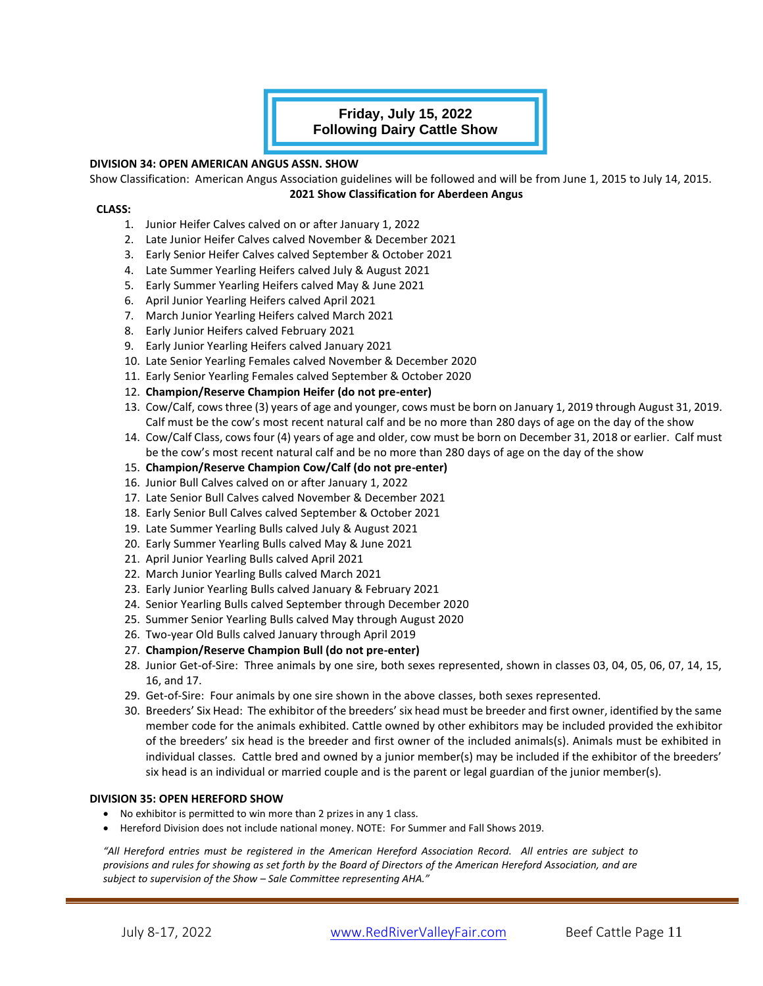# **Friday, July 15, 2022 Following Dairy Cattle Show**

# **DIVISION 34: OPEN AMERICAN ANGUS ASSN. SHOW**

Show Classification: American Angus Association guidelines will be followed and will be from June 1, 2015 to July 14, 2015. **2021 Show Classification for Aberdeen Angus**

#### **CLASS:**

- 1. Junior Heifer Calves calved on or after January 1, 2022
- 2. Late Junior Heifer Calves calved November & December 2021
- 3. Early Senior Heifer Calves calved September & October 2021
- 4. Late Summer Yearling Heifers calved July & August 2021
- 5. Early Summer Yearling Heifers calved May & June 2021
- 6. April Junior Yearling Heifers calved April 2021
- 7. March Junior Yearling Heifers calved March 2021
- 8. Early Junior Heifers calved February 2021
- 9. Early Junior Yearling Heifers calved January 2021
- 10. Late Senior Yearling Females calved November & December 2020
- 11. Early Senior Yearling Females calved September & October 2020
- 12. **Champion/Reserve Champion Heifer (do not pre-enter)**
- 13. Cow/Calf, cows three (3) years of age and younger, cows must be born on January 1, 2019 through August 31, 2019. Calf must be the cow's most recent natural calf and be no more than 280 days of age on the day of the show
- 14. Cow/Calf Class, cows four (4) years of age and older, cow must be born on December 31, 2018 or earlier. Calf must be the cow's most recent natural calf and be no more than 280 days of age on the day of the show
- 15. **Champion/Reserve Champion Cow/Calf (do not pre-enter)**
- 16. Junior Bull Calves calved on or after January 1, 2022
- 17. Late Senior Bull Calves calved November & December 2021
- 18. Early Senior Bull Calves calved September & October 2021
- 19. Late Summer Yearling Bulls calved July & August 2021
- 20. Early Summer Yearling Bulls calved May & June 2021
- 21. April Junior Yearling Bulls calved April 2021
- 22. March Junior Yearling Bulls calved March 2021
- 23. Early Junior Yearling Bulls calved January & February 2021
- 24. Senior Yearling Bulls calved September through December 2020
- 25. Summer Senior Yearling Bulls calved May through August 2020
- 26. Two-year Old Bulls calved January through April 2019
- 27. **Champion/Reserve Champion Bull (do not pre-enter)**
- 28. Junior Get-of-Sire: Three animals by one sire, both sexes represented, shown in classes 03, 04, 05, 06, 07, 14, 15, 16, and 17.
- 29. Get-of-Sire: Four animals by one sire shown in the above classes, both sexes represented.
- 30. Breeders' Six Head: The exhibitor of the breeders' six head must be breeder and first owner, identified by the same member code for the animals exhibited. Cattle owned by other exhibitors may be included provided the exhibitor of the breeders' six head is the breeder and first owner of the included animals(s). Animals must be exhibited in individual classes. Cattle bred and owned by a junior member(s) may be included if the exhibitor of the breeders' six head is an individual or married couple and is the parent or legal guardian of the junior member(s).

#### **DIVISION 35: OPEN HEREFORD SHOW**

- No exhibitor is permitted to win more than 2 prizes in any 1 class.
- Hereford Division does not include national money. NOTE: For Summer and Fall Shows 2019.

*"All Hereford entries must be registered in the American Hereford Association Record. All entries are subject to provisions and rules for showing as set forth by the Board of Directors of the American Hereford Association, and are subject to supervision of the Show – Sale Committee representing AHA."*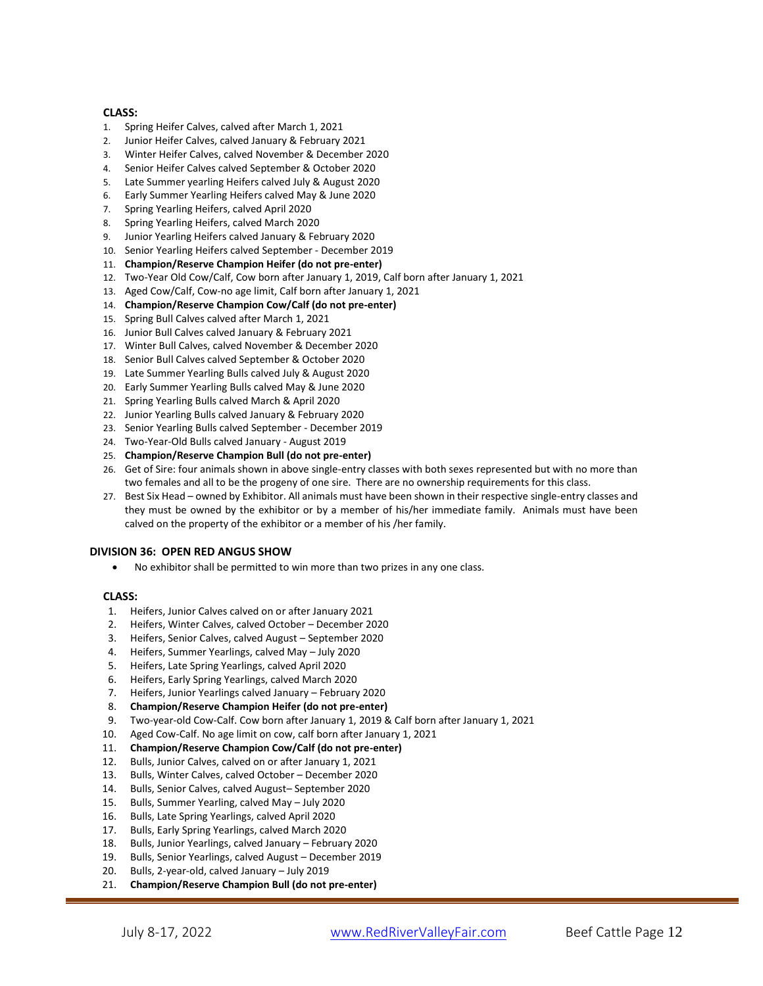# **CLASS:**

- 1. Spring Heifer Calves, calved after March 1, 2021
- 2. Junior Heifer Calves, calved January & February 2021
- 3. Winter Heifer Calves, calved November & December 2020
- 4. Senior Heifer Calves calved September & October 2020
- 5. Late Summer yearling Heifers calved July & August 2020
- 6. Early Summer Yearling Heifers calved May & June 2020
- 7. Spring Yearling Heifers, calved April 2020
- 8. Spring Yearling Heifers, calved March 2020
- 9. Junior Yearling Heifers calved January & February 2020
- 10. Senior Yearling Heifers calved September December 2019
- 11. **Champion/Reserve Champion Heifer (do not pre-enter)**
- 12. Two-Year Old Cow/Calf, Cow born after January 1, 2019, Calf born after January 1, 2021
- 13. Aged Cow/Calf, Cow-no age limit, Calf born after January 1, 2021
- 14. **Champion/Reserve Champion Cow/Calf (do not pre-enter)**
- 15. Spring Bull Calves calved after March 1, 2021
- 16. Junior Bull Calves calved January & February 2021
- 17. Winter Bull Calves, calved November & December 2020
- 18. Senior Bull Calves calved September & October 2020
- 19. Late Summer Yearling Bulls calved July & August 2020
- 20. Early Summer Yearling Bulls calved May & June 2020
- 21. Spring Yearling Bulls calved March & April 2020
- 22. Junior Yearling Bulls calved January & February 2020
- 23. Senior Yearling Bulls calved September December 2019
- 24. Two-Year-Old Bulls calved January August 2019
- 25. **Champion/Reserve Champion Bull (do not pre-enter)**
- 26. Get of Sire: four animals shown in above single-entry classes with both sexes represented but with no more than two females and all to be the progeny of one sire. There are no ownership requirements for this class.
- 27. Best Six Head owned by Exhibitor. All animals must have been shown in their respective single-entry classes and they must be owned by the exhibitor or by a member of his/her immediate family. Animals must have been calved on the property of the exhibitor or a member of his /her family.

#### **DIVISION 36: OPEN RED ANGUS SHOW**

• No exhibitor shall be permitted to win more than two prizes in any one class.

- 1. Heifers, Junior Calves calved on or after January 2021
- 2. Heifers, Winter Calves, calved October December 2020
- 3. Heifers, Senior Calves, calved August September 2020
- 4. Heifers, Summer Yearlings, calved May July 2020
- 5. Heifers, Late Spring Yearlings, calved April 2020
- 6. Heifers, Early Spring Yearlings, calved March 2020
- 7. Heifers, Junior Yearlings calved January February 2020
- 8. **Champion/Reserve Champion Heifer (do not pre-enter)**
- 9. Two-year-old Cow-Calf. Cow born after January 1, 2019 & Calf born after January 1, 2021
- 10. Aged Cow-Calf. No age limit on cow, calf born after January 1, 2021
- 11. **Champion/Reserve Champion Cow/Calf (do not pre-enter)**
- 12. Bulls, Junior Calves, calved on or after January 1, 2021
- 13. Bulls, Winter Calves, calved October December 2020
- 14. Bulls, Senior Calves, calved August– September 2020
- 15. Bulls, Summer Yearling, calved May July 2020
- 16. Bulls, Late Spring Yearlings, calved April 2020
- 17. Bulls, Early Spring Yearlings, calved March 2020
- 18. Bulls, Junior Yearlings, calved January February 2020
- 19. Bulls, Senior Yearlings, calved August December 2019
- 20. Bulls, 2-year-old, calved January July 2019
- 21. **Champion/Reserve Champion Bull (do not pre-enter)**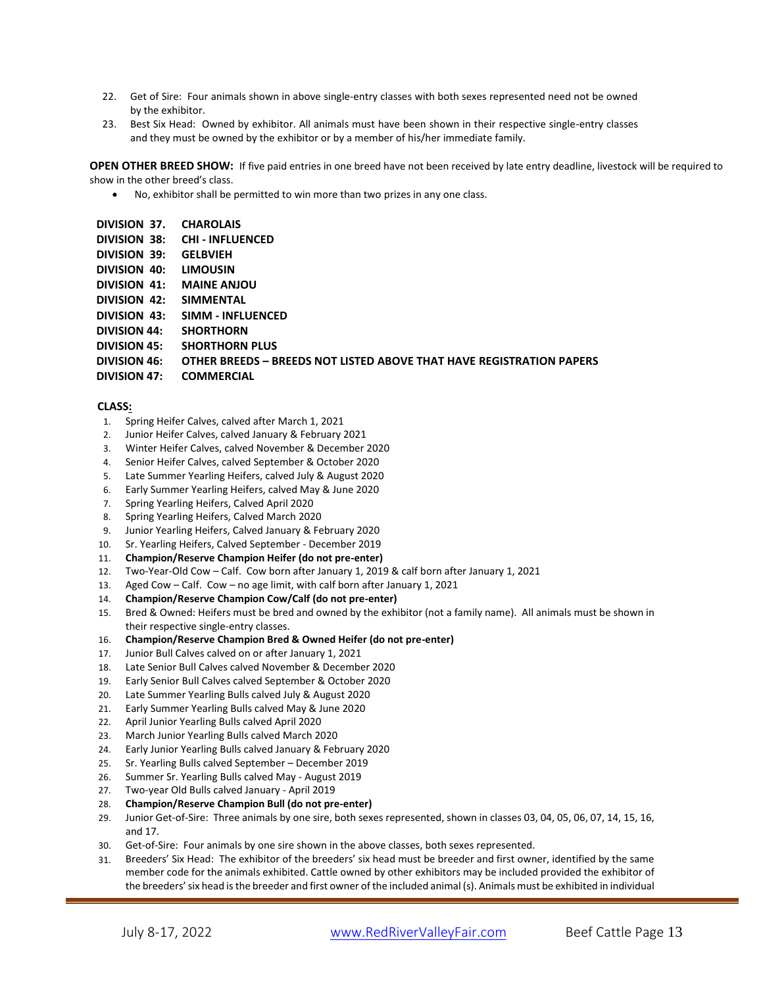- 22. Get of Sire: Four animals shown in above single-entry classes with both sexes represented need not be owned by the exhibitor.
- 23. Best Six Head: Owned by exhibitor. All animals must have been shown in their respective single-entry classes and they must be owned by the exhibitor or by a member of his/her immediate family.

**OPEN OTHER BREED SHOW:** If five paid entries in one breed have not been received by late entry deadline, livestock will be required to show in the other breed's class.

- No, exhibitor shall be permitted to win more than two prizes in any one class.
- **DIVISION 37. CHAROLAIS**
- **DIVISION 38: CHI - INFLUENCED**
- **DIVISION 39: GELBVIEH**
- **DIVISION 40: LIMOUSIN**
- **DIVISION 41: MAINE ANJOU**
- **DIVISION 42: SIMMENTAL**
- **DIVISION 43: SIMM - INFLUENCED**
- **DIVISION 44: SHORTHORN**
- **DIVISION 45: SHORTHORN PLUS**
- **DIVISION 46: OTHER BREEDS – BREEDS NOT LISTED ABOVE THAT HAVE REGISTRATION PAPERS**
- **DIVISION 47: COMMERCIAL**

- 1. Spring Heifer Calves, calved after March 1, 2021
- 2. Junior Heifer Calves, calved January & February 2021
- 3. Winter Heifer Calves, calved November & December 2020
- 4. Senior Heifer Calves, calved September & October 2020
- 5. Late Summer Yearling Heifers, calved July & August 2020
- 6. Early Summer Yearling Heifers, calved May & June 2020
- 7. Spring Yearling Heifers, Calved April 2020
- 8. Spring Yearling Heifers, Calved March 2020
- 9. Junior Yearling Heifers, Calved January & February 2020
- 10. Sr. Yearling Heifers, Calved September December 2019
- 11. **Champion/Reserve Champion Heifer (do not pre-enter)**
- 12. Two-Year-Old Cow Calf. Cow born after January 1, 2019 & calf born after January 1, 2021
- 13. Aged Cow Calf. Cow no age limit, with calf born after January 1, 2021
- 14. **Champion/Reserve Champion Cow/Calf (do not pre-enter)**
- 15. Bred & Owned: Heifers must be bred and owned by the exhibitor (not a family name). All animals must be shown in their respective single-entry classes.
- 16. **Champion/Reserve Champion Bred & Owned Heifer (do not pre-enter)**
- 17. Junior Bull Calves calved on or after January 1, 2021
- 18. Late Senior Bull Calves calved November & December 2020
- 19. Early Senior Bull Calves calved September & October 2020
- 20. Late Summer Yearling Bulls calved July & August 2020
- 21. Early Summer Yearling Bulls calved May & June 2020
- 22. April Junior Yearling Bulls calved April 2020
- 23. March Junior Yearling Bulls calved March 2020
- 24. Early Junior Yearling Bulls calved January & February 2020
- 25. Sr. Yearling Bulls calved September December 2019
- 26. Summer Sr. Yearling Bulls calved May August 2019
- 27. Two-year Old Bulls calved January April 2019
- 28. **Champion/Reserve Champion Bull (do not pre-enter)**
- 29. Junior Get-of-Sire: Three animals by one sire, both sexes represented, shown in classes 03, 04, 05, 06, 07, 14, 15, 16, and 17.
- 30. Get-of-Sire: Four animals by one sire shown in the above classes, both sexes represented.
- 31. Breeders' Six Head: The exhibitor of the breeders' six head must be breeder and first owner, identified by the same member code for the animals exhibited. Cattle owned by other exhibitors may be included provided the exhibitor of the breeders' six head isthe breeder and first owner of the included animal (s). Animals must be exhibited in individual